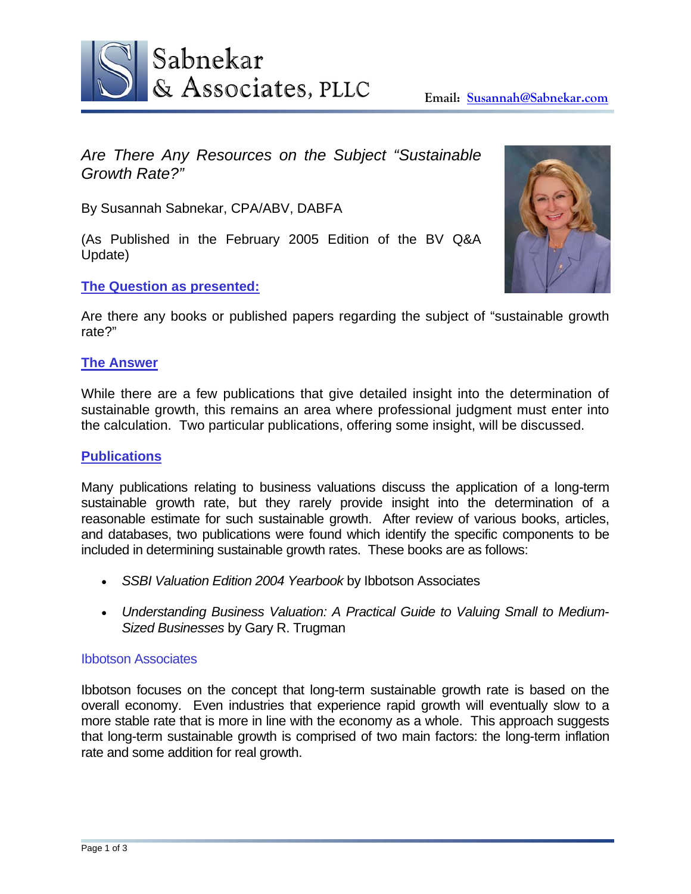

*Are There Any Resources on the Subject "Sustainable Growth Rate?"* 

By Susannah Sabnekar, CPA/ABV, DABFA

(As Published in the February 2005 Edition of the BV Q&A Update)

# **The Question as presented:**

Are there any books or published papers regarding the subject of "sustainable growth rate?"

# **The Answer**

While there are a few publications that give detailed insight into the determination of sustainable growth, this remains an area where professional judgment must enter into the calculation. Two particular publications, offering some insight, will be discussed.

# **Publications**

Many publications relating to business valuations discuss the application of a long-term sustainable growth rate, but they rarely provide insight into the determination of a reasonable estimate for such sustainable growth. After review of various books, articles, and databases, two publications were found which identify the specific components to be included in determining sustainable growth rates. These books are as follows:

- *SSBI Valuation Edition 2004 Yearbook* by Ibbotson Associates
- *Understanding Business Valuation: A Practical Guide to Valuing Small to Medium-Sized Businesses* by Gary R. Trugman

## Ibbotson Associates

Ibbotson focuses on the concept that long-term sustainable growth rate is based on the overall economy. Even industries that experience rapid growth will eventually slow to a more stable rate that is more in line with the economy as a whole. This approach suggests that long-term sustainable growth is comprised of two main factors: the long-term inflation rate and some addition for real growth.

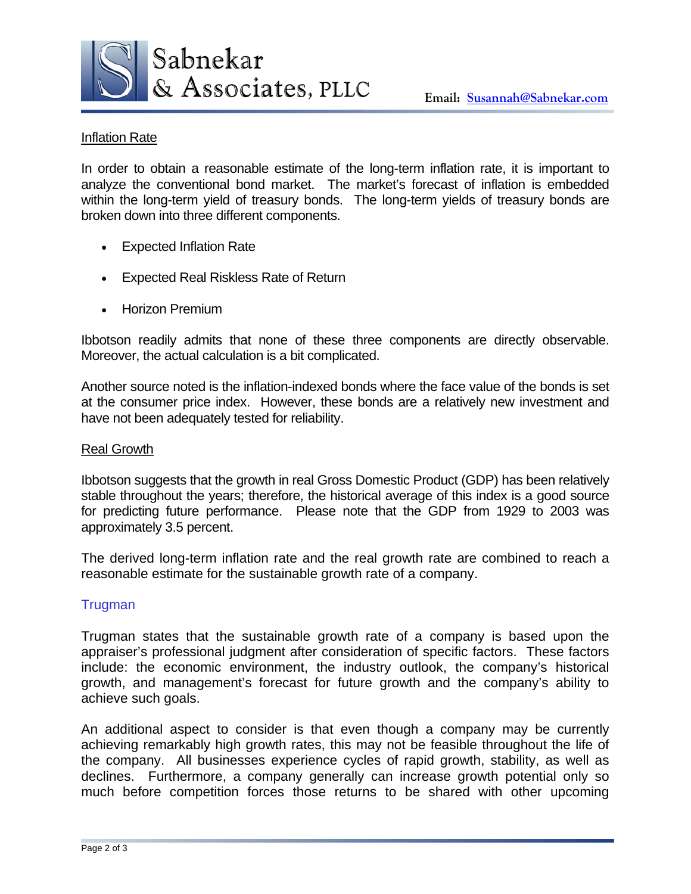

## Inflation Rate

In order to obtain a reasonable estimate of the long-term inflation rate, it is important to analyze the conventional bond market. The market's forecast of inflation is embedded within the long-term yield of treasury bonds. The long-term yields of treasury bonds are broken down into three different components.

- **Expected Inflation Rate**
- Expected Real Riskless Rate of Return
- Horizon Premium

Ibbotson readily admits that none of these three components are directly observable. Moreover, the actual calculation is a bit complicated.

Another source noted is the inflation-indexed bonds where the face value of the bonds is set at the consumer price index. However, these bonds are a relatively new investment and have not been adequately tested for reliability.

#### Real Growth

Ibbotson suggests that the growth in real Gross Domestic Product (GDP) has been relatively stable throughout the years; therefore, the historical average of this index is a good source for predicting future performance. Please note that the GDP from 1929 to 2003 was approximately 3.5 percent.

The derived long-term inflation rate and the real growth rate are combined to reach a reasonable estimate for the sustainable growth rate of a company.

## **Trugman**

Trugman states that the sustainable growth rate of a company is based upon the appraiser's professional judgment after consideration of specific factors. These factors include: the economic environment, the industry outlook, the company's historical growth, and management's forecast for future growth and the company's ability to achieve such goals.

An additional aspect to consider is that even though a company may be currently achieving remarkably high growth rates, this may not be feasible throughout the life of the company. All businesses experience cycles of rapid growth, stability, as well as declines. Furthermore, a company generally can increase growth potential only so much before competition forces those returns to be shared with other upcoming